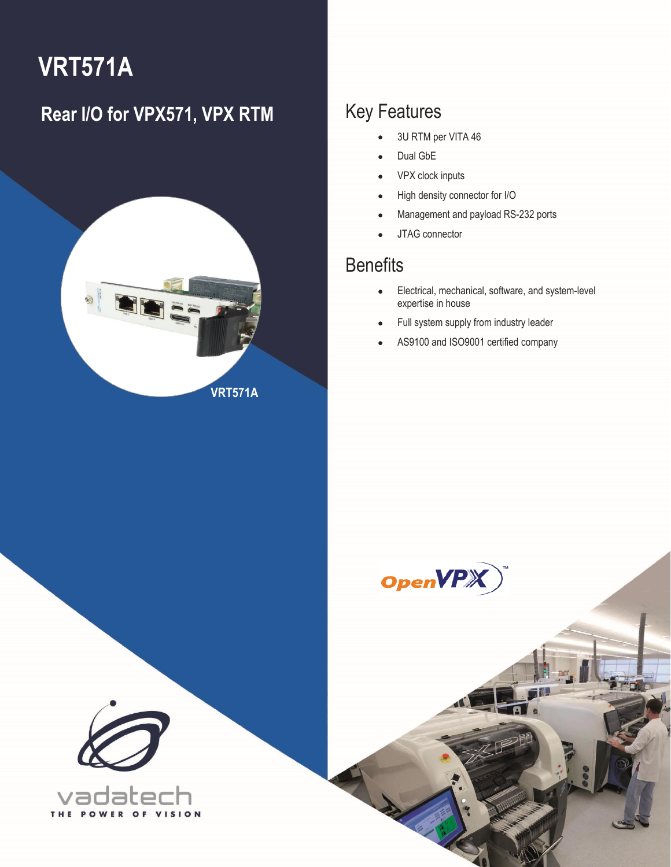# **VRT571A**

### **Rear I/O for VPX571, VPX RTM** Key Features



- 3U RTM per VITA 46
- Dual GbE
- VPX clock inputs
- High density connector for I/O
- Management and payload RS-232 ports
- JTAG connector

### **Benefits**

1 VRT571A – Rear I/O for VPX571, VPX RTM **[info@vadatech.com](mailto:info@vadatech.com) [| www.vadatech.com](www.vadatech.com)**

- Electrical, mechanical, software, and system-level expertise in house
- Full system supply from industry leader
- AS9100 and ISO9001 certified company



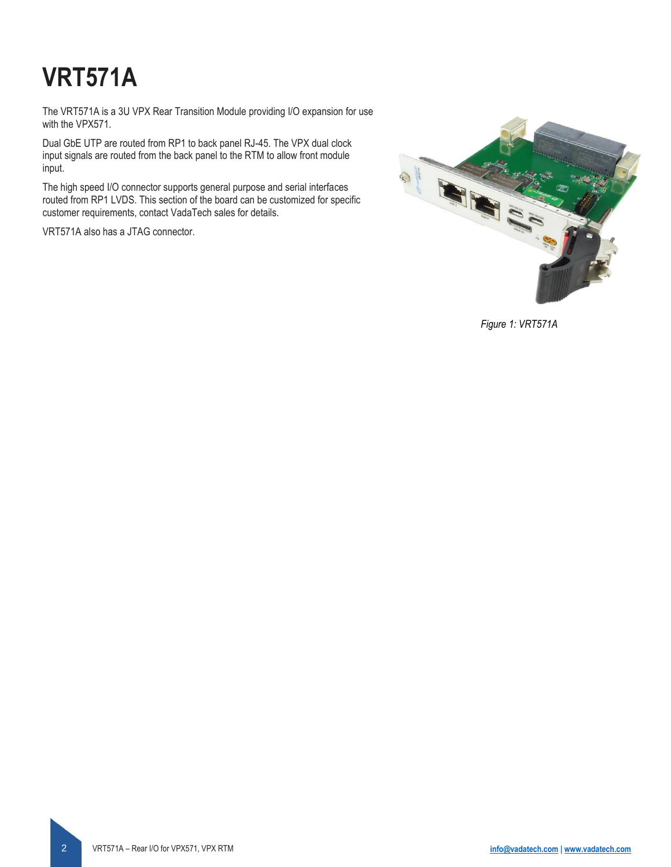# **VRT571A**

The VRT571A is a 3U VPX Rear Transition Module providing I/O expansion for use with the VPX571.

Dual GbE UTP are routed from RP1 to back panel RJ-45. The VPX dual clock input signals are routed from the back panel to the RTM to allow front module input.

The high speed I/O connector supports general purpose and serial interfaces routed from RP1 LVDS. This section of the board can be customized for specific customer requirements, contact VadaTech sales for details.

VRT571A also has a JTAG connector.



*Figure 1: VRT571A*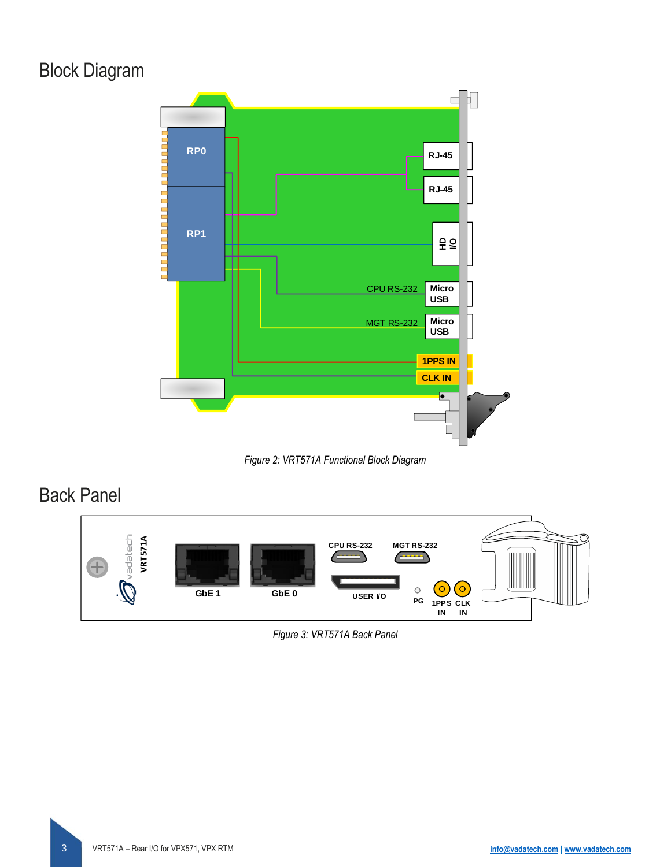### Block Diagram



*Figure 2: VRT571A Functional Block Diagram*

### Back Panel



*Figure 3: VRT571A Back Panel*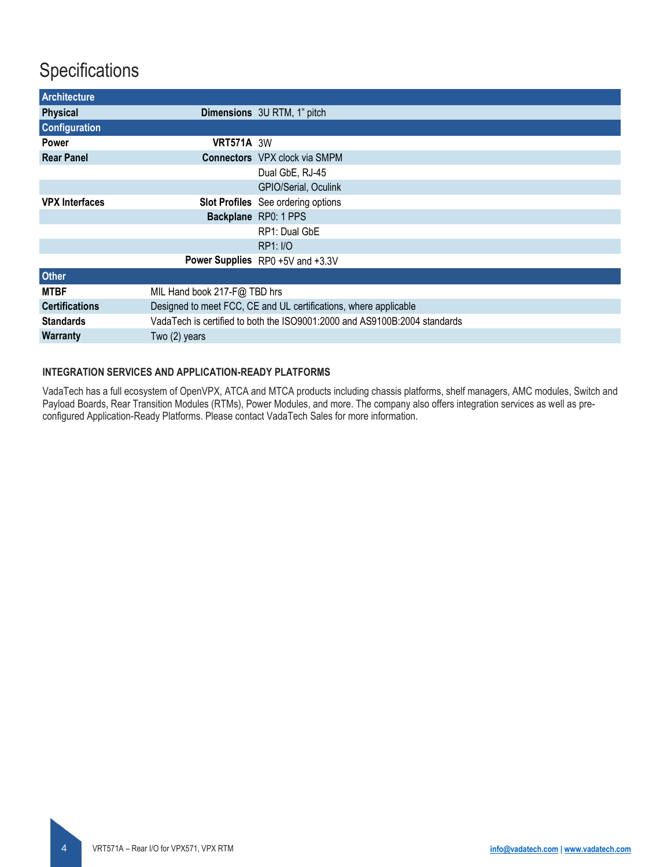### **Specifications**

| Architecture          |                                                                           |                                      |  |  |  |
|-----------------------|---------------------------------------------------------------------------|--------------------------------------|--|--|--|
| <b>Physical</b>       |                                                                           | <b>Dimensions</b> 3U RTM, 1" pitch   |  |  |  |
| <b>Configuration</b>  |                                                                           |                                      |  |  |  |
| <b>Power</b>          | <b>VRT571A 3W</b>                                                         |                                      |  |  |  |
| <b>Rear Panel</b>     |                                                                           | <b>Connectors</b> VPX clock via SMPM |  |  |  |
|                       |                                                                           | Dual GbE, RJ-45                      |  |  |  |
|                       |                                                                           | GPIO/Serial, Oculink                 |  |  |  |
| <b>VPX Interfaces</b> |                                                                           | Slot Profiles See ordering options   |  |  |  |
|                       |                                                                           | Backplane RP0: 1 PPS                 |  |  |  |
|                       |                                                                           | RP1: Dual GbE                        |  |  |  |
|                       |                                                                           | <b>RP1: I/O</b>                      |  |  |  |
|                       |                                                                           | Power Supplies RP0 +5V and +3.3V     |  |  |  |
| <b>Other</b>          |                                                                           |                                      |  |  |  |
| <b>MTBF</b>           | MIL Hand book 217-F@ TBD hrs                                              |                                      |  |  |  |
| <b>Certifications</b> | Designed to meet FCC, CE and UL certifications, where applicable          |                                      |  |  |  |
| <b>Standards</b>      | VadaTech is certified to both the ISO9001:2000 and AS9100B:2004 standards |                                      |  |  |  |
| <b>Warranty</b>       | Two (2) years                                                             |                                      |  |  |  |

#### **INTEGRATION SERVICES AND APPLICATION-READY PLATFORMS**

VadaTech has a full ecosystem of OpenVPX, ATCA and MTCA products including chassis platforms, shelf managers, AMC modules, Switch and Payload Boards, Rear Transition Modules (RTMs), Power Modules, and more. The company also offers integration services as well as preconfigured Application-Ready Platforms. Please contact VadaTech Sales for more information.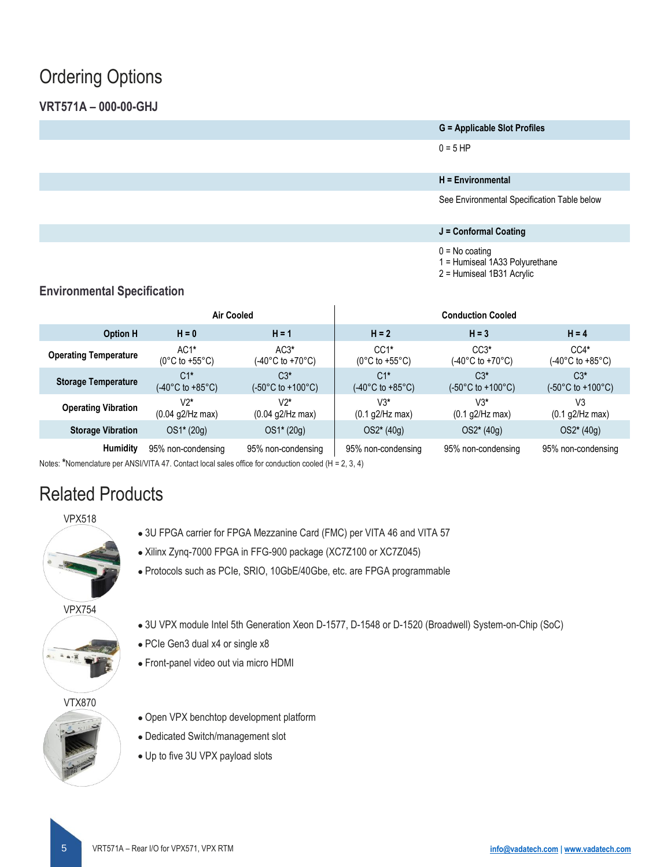### Ordering Options

### **VRT571A – 000-00-GHJ**

**G = Applicable Slot Profiles**

 $0 = 5$  HP

### **H = Environmental**

See Environmental Specification Table below

#### **J = Conformal Coating**

 $0 = No$  coating

1 = Humiseal 1A33 Polyurethane

2 = Humiseal 1B31 Acrylic

### **Environmental Specification**

|                              | <b>Air Cooled</b>                             |                             | <b>Conduction Cooled</b>                       |                                                 |                                                                     |
|------------------------------|-----------------------------------------------|-----------------------------|------------------------------------------------|-------------------------------------------------|---------------------------------------------------------------------|
| <b>Option H</b>              | $H = 0$                                       | $H = 1$                     | $H = 2$                                        | $H = 3$                                         | $H = 4$                                                             |
| <b>Operating Temperature</b> | $AC1*$<br>$(0^{\circ}$ C to +55 $^{\circ}$ C) | $AC3*$<br>(-40°C to +70°C). | $CC1*$<br>$(0^{\circ}$ C to +55 $^{\circ}$ C)  | $CC3*$<br>(-40°C to +70°C).                     | $CC4*$<br>(-40°C to +85°C)                                          |
| <b>Storage Temperature</b>   | $C1*$<br>$(-40^{\circ}$ C to $+85^{\circ}$ C) | $C3*$<br>(-50°C to +100°C). | $C1*$<br>$(-40^{\circ}$ C to +85 $^{\circ}$ C) | $C3*$<br>$(-50^{\circ}$ C to +100 $^{\circ}$ C) | $C3*$<br>$(-50^{\circ} \text{C} \text{ to } +100^{\circ} \text{C})$ |
| <b>Operating Vibration</b>   | $V2*$<br>$(0.04$ g2/Hz max)                   | V2*<br>$(0.04$ g2/Hz max)   | V3*<br>(0.1 g2/Hz max)                         | $V3*$<br>$(0.1$ g2/Hz max)                      | V3<br>$(0.1$ g2/Hz max)                                             |
| <b>Storage Vibration</b>     | $OS1*(20g)$                                   | $OS1*(20g)$                 | $OS2*(40g)$                                    | $OS2*(40g)$                                     | $OS2*(40g)$                                                         |
| Humidity                     | 95% non-condensing                            | 95% non-condensing          | 95% non-condensing                             | 95% non-condensing                              | 95% non-condensing                                                  |

Notes: **\***Nomenclature per ANSI/VITA 47. Contact local sales office for conduction cooled (H = 2, 3, 4)

### Related Products



- 3U FPGA carrier for FPGA Mezzanine Card (FMC) per VITA 46 and VITA 57
- Xilinx Zynq-7000 FPGA in FFG-900 package (XC7Z100 or XC7Z045)
- Protocols such as PCIe, SRIO, 10GbE/40Gbe, etc. are FPGA programmable



- 3U VPX module Intel 5th Generation Xeon D-1577, D-1548 or D-1520 (Broadwell) System-on-Chip (SoC)
- PCIe Gen3 dual x4 or single x8
- Front-panel video out via micro HDMI

#### VTX870

- 
- Open VPX benchtop development platform
- Dedicated Switch/management slot
- Up to five 3U VPX payload slots